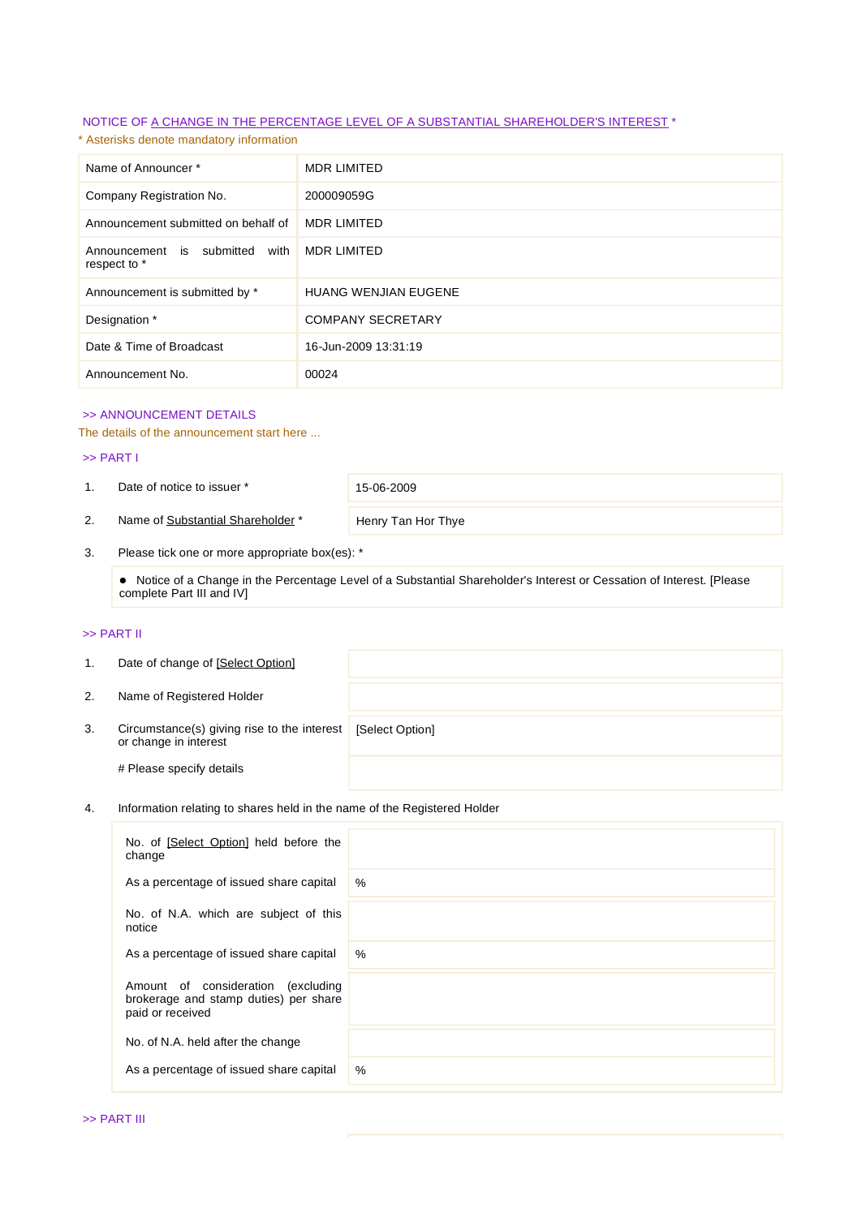## NOTICE OF A CHANGE IN THE PERCENTAGE LEVEL OF A SUBSTANTIAL SHAREHOLDER'S INTEREST \*

\* Asterisks denote mandatory information

| Name of Announcer*                                | <b>MDR LIMITED</b>          |
|---------------------------------------------------|-----------------------------|
| Company Registration No.                          | 200009059G                  |
| Announcement submitted on behalf of               | <b>MDR LIMITED</b>          |
| Announcement is submitted<br>with<br>respect to * | <b>MDR LIMITED</b>          |
| Announcement is submitted by *                    | <b>HUANG WENJIAN EUGENE</b> |
| Designation *                                     | <b>COMPANY SECRETARY</b>    |
| Date & Time of Broadcast                          | 16-Jun-2009 13:31:19        |
| Announcement No.                                  | 00024                       |

### >> ANNOUNCEMENT DETAILS

The details of the announcement start here ...

#### >> PART I

1. Date of notice to issuer \* 15-06-2009

2. Name of Substantial Shareholder \* Henry Tan Hor Thye

3. Please tick one or more appropriate box(es): \*

 Notice of a Change in the Percentage Level of a Substantial Shareholder's Interest or Cessation of Interest. [Please complete Part III and IV]

## >> PART II

| 1. | Date of change of [Select Option]                                    |                 |
|----|----------------------------------------------------------------------|-----------------|
| 2. | Name of Registered Holder                                            |                 |
| 3. | Circumstance(s) giving rise to the interest<br>or change in interest | [Select Option] |
|    | # Please specify details                                             |                 |

## 4. Information relating to shares held in the name of the Registered Holder

| No. of [Select Option] held before the<br>change                                                   |      |
|----------------------------------------------------------------------------------------------------|------|
| As a percentage of issued share capital                                                            | $\%$ |
| No. of N.A. which are subject of this<br>notice                                                    |      |
| As a percentage of issued share capital                                                            | $\%$ |
| Amount of consideration<br>(excluding<br>brokerage and stamp duties) per share<br>paid or received |      |
| No. of N.A. held after the change                                                                  |      |
| As a percentage of issued share capital                                                            | %    |